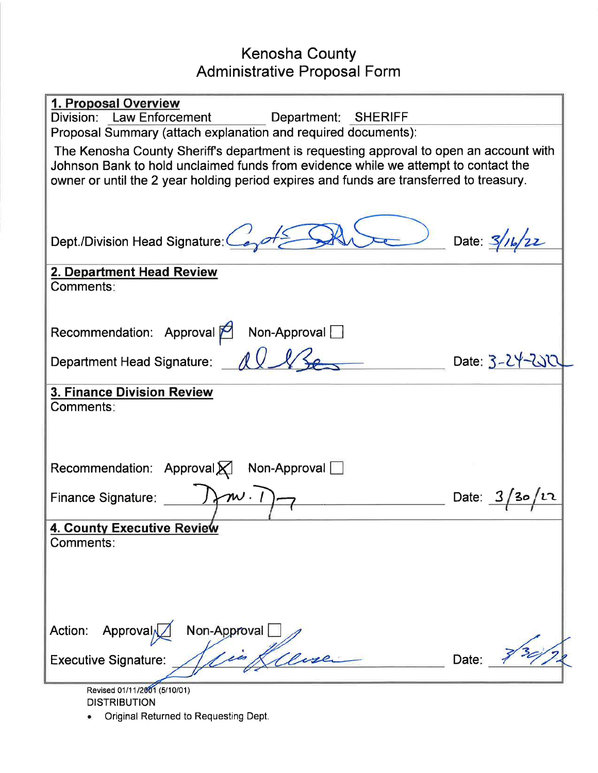## Kenosha County Administrative Proposal Form

| 1. Proposal Overview<br>Division: Law Enforcement<br>Department: SHERIFF<br>Proposal Summary (attach explanation and required documents):                                    |                    |  |  |
|------------------------------------------------------------------------------------------------------------------------------------------------------------------------------|--------------------|--|--|
| The Kenosha County Sheriff's department is requesting approval to open an account with<br>Johnson Bank to hold unclaimed funds from evidence while we attempt to contact the |                    |  |  |
| owner or until the 2 year holding period expires and funds are transferred to treasury.                                                                                      |                    |  |  |
|                                                                                                                                                                              |                    |  |  |
| Dept./Division Head Signature:                                                                                                                                               | Date: $3/7$        |  |  |
| 2. Department Head Review<br>Comments:                                                                                                                                       |                    |  |  |
|                                                                                                                                                                              |                    |  |  |
| Recommendation: Approval<br>Non-Approval                                                                                                                                     |                    |  |  |
| Department Head Signature:                                                                                                                                                   | Date: $3 - 24 - 2$ |  |  |
| <b>3. Finance Division Review</b>                                                                                                                                            |                    |  |  |
| Comments:                                                                                                                                                                    |                    |  |  |
|                                                                                                                                                                              |                    |  |  |
| Recommendation: Approval<br>Non-Approval $\Box$                                                                                                                              |                    |  |  |
| $\boldsymbol{\mathcal{W}}$ .<br><b>Finance Signature:</b>                                                                                                                    | Date:              |  |  |
| 4. County Executive Review<br>Comments:                                                                                                                                      |                    |  |  |
|                                                                                                                                                                              |                    |  |  |
|                                                                                                                                                                              |                    |  |  |
|                                                                                                                                                                              |                    |  |  |
| Approval<br>Non-Approval<br>Action:<br>Gene                                                                                                                                  |                    |  |  |
| <b>Executive Signature:</b>                                                                                                                                                  | Date:              |  |  |
| Revised 01/11/2001 (5/10/01)                                                                                                                                                 |                    |  |  |

DISTRIBUTION

. Original Returned to Requesting Dept.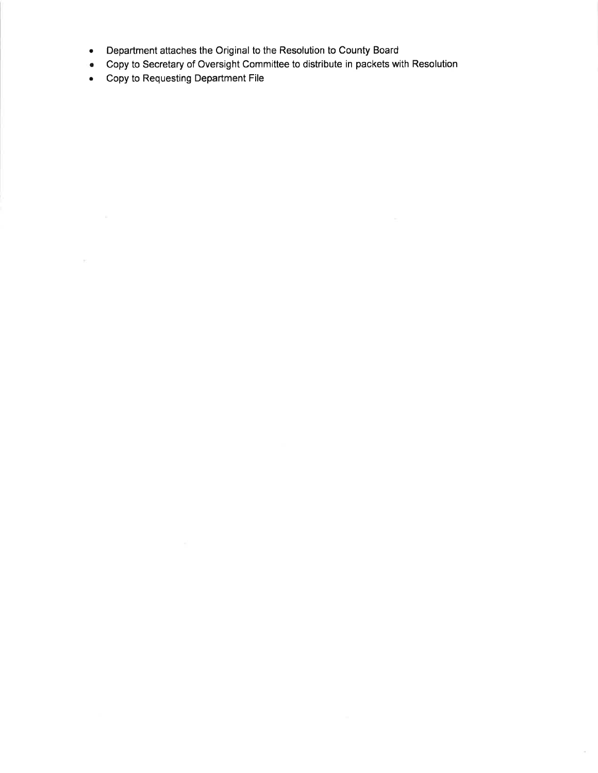- . Department attaches the Original to the Resolution to County Board
- . Copy to Secretary of Oversight Committee to distribute in packets with Resolution

o.

. Copy to Requesting Department File

 $\mathcal{P}_1$  .  $\ldots$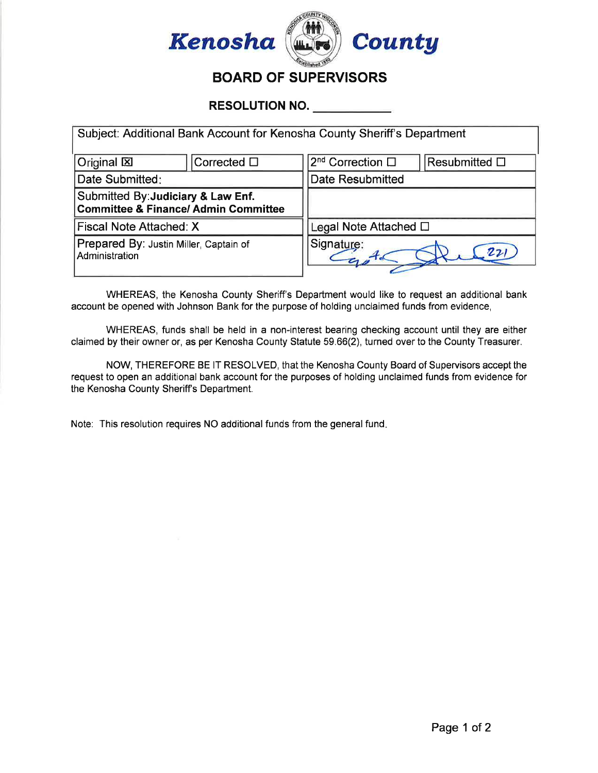

RESOLUTION NO.

| Subject: Additional Bank Account for Kenosha County Sheriff's Department              |                     |                              |                       |  |  |
|---------------------------------------------------------------------------------------|---------------------|------------------------------|-----------------------|--|--|
| Original X                                                                            | Corrected $\square$ | 2 <sup>nd</sup> Correction □ | Resubmitted $\square$ |  |  |
| Date Submitted:                                                                       |                     | <b>Date Resubmitted</b>      |                       |  |  |
| Submitted By: Judiciary & Law Enf.<br><b>Committee &amp; Finance/ Admin Committee</b> |                     |                              |                       |  |  |
| Fiscal Note Attached: X                                                               |                     | Legal Note Attached $\Box$   |                       |  |  |
| Prepared By: Justin Miller, Captain of<br>Administration                              |                     | Signature:<br>$\mathbf{z}_2$ |                       |  |  |

WHEREAS, the Kenosha County Sheriff's Department would like to request an additional bank account be opened with Johnson Bank for the purpose of holding unclaimed funds from evidence,

WHEREAS, funds shall be held in a non-interest bearing checking account until they are either claimed by their owner or, as per Kenosha County Statute 59.66(2), turned over to the County Treasurer.

NOW, THEREFORE BE lT RESOLVED, that the Kenosha County Board of Supervisors accept the request to open an additional bank account for the purposes of holding unclaimed funds from evidence for the Kenosha County Sheriff's Department.

Note: This resolution requires NO additional funds from the general fund.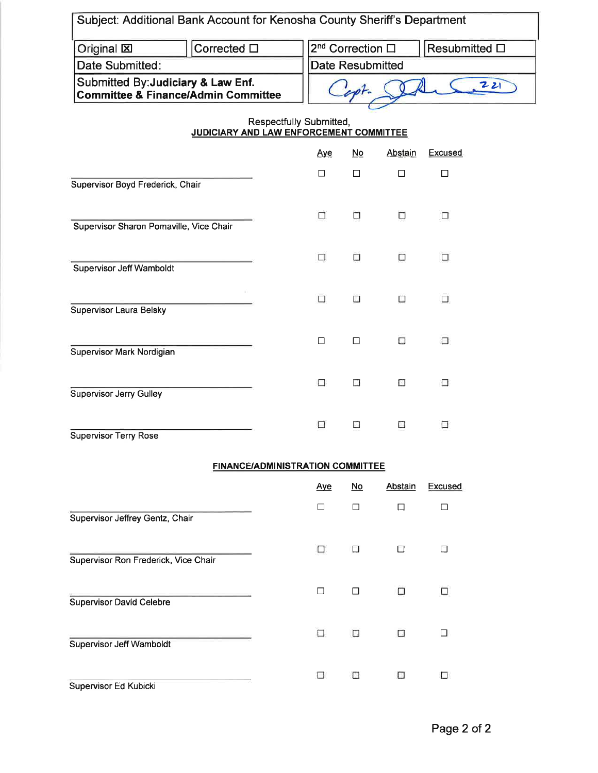| Subject: Additional Bank Account for Kenosha County Sheriff's Department             |                                         |            |                                                       |                |         |  |  |
|--------------------------------------------------------------------------------------|-----------------------------------------|------------|-------------------------------------------------------|----------------|---------|--|--|
| Original <b>区</b>                                                                    | Corrected $\square$                     |            | 2 <sup>nd</sup> Correction □<br>Resubmitted $\square$ |                |         |  |  |
| Date Submitted:                                                                      |                                         |            | <b>Date Resubmitted</b>                               |                |         |  |  |
| Submitted By: Judiciary & Law Enf.<br><b>Committee &amp; Finance/Admin Committee</b> |                                         |            | 221                                                   |                |         |  |  |
| Respectfully Submitted,<br>JUDICIARY AND LAW ENFORCEMENT COMMITTEE                   |                                         |            |                                                       |                |         |  |  |
|                                                                                      |                                         | <u>Aye</u> | $\underline{\mathsf{No}}$                             | Abstain        | Excused |  |  |
| Supervisor Boyd Frederick, Chair                                                     |                                         | $\Box$     | $\Box$                                                | $\Box$         | $\Box$  |  |  |
| Supervisor Sharon Pomaville, Vice Chair                                              |                                         | □          | О                                                     | С              | □       |  |  |
| Supervisor Jeff Wamboldt                                                             |                                         | □          | $\Box$                                                | $\Box$         | $\Box$  |  |  |
| Supervisor Laura Belsky                                                              |                                         | □          | $\Box$                                                | $\Box$         | $\Box$  |  |  |
| Supervisor Mark Nordigian                                                            |                                         | □          | $\Box$                                                | $\Box$         | $\Box$  |  |  |
| <b>Supervisor Jerry Gulley</b>                                                       |                                         | □          | $\overline{\mathcal{L}}$                              | $\Box$         | □       |  |  |
| <b>Supervisor Terry Rose</b>                                                         |                                         | $\Box$     |                                                       | $\sim$         | □       |  |  |
|                                                                                      | <b>FINANCE/ADMINISTRATION COMMITTEE</b> |            |                                                       |                |         |  |  |
|                                                                                      |                                         | <u>Aye</u> | $\underline{\mathsf{No}}$                             | <b>Abstain</b> | Excused |  |  |
| Supervisor Jeffrey Gentz, Chair                                                      |                                         | $\Box$     | $\Box$                                                | $\Box$         | $\Box$  |  |  |
| Supervisor Ron Frederick, Vice Chair                                                 |                                         | □          | $\Box$                                                | □              | $\Box$  |  |  |
| <b>Supervisor David Celebre</b>                                                      |                                         | □          | $\Box$                                                | $\Box$         | □       |  |  |
| Supervisor Jeff Wamboldt                                                             |                                         | $\Box$     | □                                                     | $\Box$         | $\Box$  |  |  |
| Supervisor Ed Kubicki                                                                |                                         | □          | □                                                     | Ω              | □       |  |  |